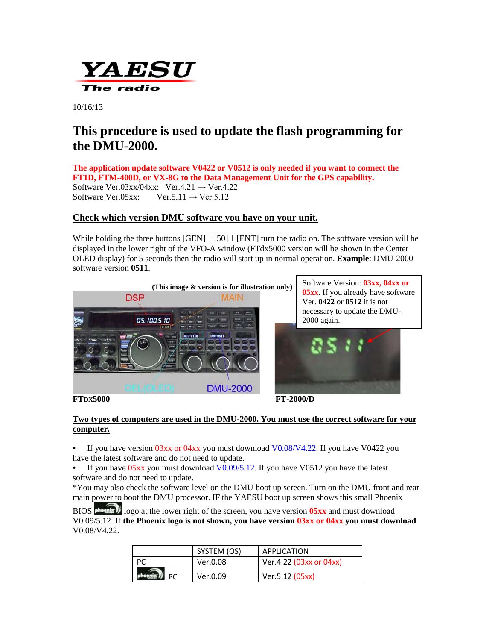

10/16/13

# **This procedure is used to update the flash programming for the DMU-2000.**

**The application update software V0422 or V0512 is only needed if you want to connect the FT1D, FTM-400D, or VX-8G to the Data Management Unit for the GPS capability.**  Software Ver.03xx/04xx: Ver.4.21  $\rightarrow$  Ver.4.22 Software Ver.05xx: Ver.5.11  $\rightarrow$  Ver.5.12

### **Check which version DMU software you have on your unit.**

While holding the three buttons  $[GEN]+[50]+[ENT]$  turn the radio on. The software version will be displayed in the lower right of the VFO-A window (FTdx5000 version will be shown in the Center OLED display) for 5 seconds then the radio will start up in normal operation. **Example**: DMU-2000 software version **0511**.



#### **Two types of computers are used in the DMU-2000. You must use the correct software for your computer.**

If you have version  $03xx$  or  $04xx$  you must download  $V0.08/V4.22$ . If you have V0422 you have the latest software and do not need to update.

If you have  $05xx$  you must download  $V0.09/5.12$ . If you have V0512 you have the latest software and do not need to update.

\*You may also check the software level on the DMU boot up screen. Turn on the DMU front and rear main power to boot the DMU processor. IF the YAESU boot up screen shows this small Phoenix

BIOS **phoenix** logo at the lower right of the screen, you have version **05xx** and must download V0.09/5.12. If **the Phoenix logo is not shown, you have version 03xx or 04xx you must download** V0.08/V4.22.

| SYSTEM (OS) | APPLICATION             |
|-------------|-------------------------|
| Ver.0.08    | Ver.4.22 (03xx or 04xx) |
| Ver.0.09    | Ver.5.12 (05xx)         |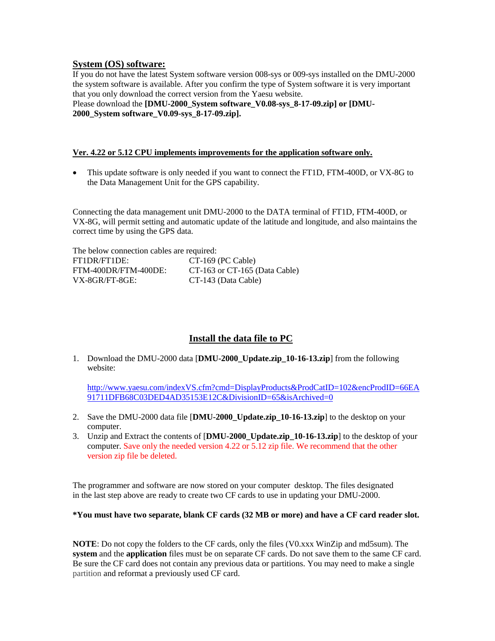### **System (OS) software:**

If you do not have the latest System software version 008-sys or 009-sys installed on the DMU-2000 the system software is available. After you confirm the type of System software it is very important that you only download the correct version from the Yaesu website.

Please download the **[DMU-2000\_System software\_V0.08-sys\_8-17-09.zip] or [DMU-2000\_System software\_V0.09-sys\_8-17-09.zip].**

#### **Ver. 4.22 or 5.12 CPU implements improvements for the application software only.**

• This update software is only needed if you want to connect the FT1D, FTM-400D, or VX-8G to the Data Management Unit for the GPS capability.

Connecting the data management unit DMU-2000 to the DATA terminal of FT1D, FTM-400D, or VX-8G, will permit setting and automatic update of the latitude and longitude, and also maintains the correct time by using the GPS data.

| The below connection cables are required: |                                   |  |
|-------------------------------------------|-----------------------------------|--|
| FT1DR/FT1DE:                              | $CT-169$ (PC Cable)               |  |
| FTM-400DR/FTM-400DE:                      | $CT-163$ or $CT-165$ (Data Cable) |  |
| VX-8GR/FT-8GE:                            | CT-143 (Data Cable)               |  |

### **Install the data file to PC**

1. Download the DMU-2000 data [**DMU-2000\_Update.zip\_10-16-13.zip**] from the following website:

[http://www.yaesu.com/indexVS.cfm?cmd=DisplayProducts&ProdCatID=102&encProdID=66EA](http://www.yaesu.com/indexVS.cfm?cmd=DisplayProducts&ProdCatID=102&encProdID=66EA91711DFB68C03DED4AD35153E12C&DivisionID=65&isArchived=0) [91711DFB68C03DED4AD35153E12C&DivisionID=65&isArchived=0](http://www.yaesu.com/indexVS.cfm?cmd=DisplayProducts&ProdCatID=102&encProdID=66EA91711DFB68C03DED4AD35153E12C&DivisionID=65&isArchived=0)

- 2. Save the DMU-2000 data file [**DMU-2000\_Update.zip\_10-16-13.zip**] to the desktop on your computer.
- 3. Unzip and Extract the contents of [**DMU-2000\_Update.zip\_10-16-13.zip**] to the desktop of your computer. Save only the needed version 4.22 or 5.12 zip file. We recommend that the other version zip file be deleted.

The programmer and software are now stored on your computer desktop. The files designated in the last step above are ready to create two CF cards to use in updating your DMU-2000.

#### **\*You must have two separate, blank CF cards (32 MB or more) and have a CF card reader slot.**

**NOTE**: Do not copy the folders to the CF cards, only the files (V0.xxx WinZip and md5sum). The **system** and the **application** files must be on separate CF cards. Do not save them to the same CF card. Be sure the CF card does not contain any previous data or partitions. You may need to make a single partition and reformat a previously used CF card.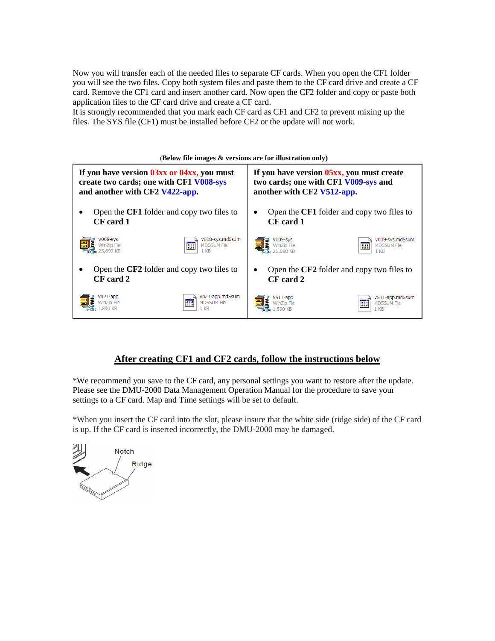Now you will transfer each of the needed files to separate CF cards. When you open the CF1 folder you will see the two files. Copy both system files and paste them to the CF card drive and create a CF card. Remove the CF1 card and insert another card. Now open the CF2 folder and copy or paste both application files to the CF card drive and create a CF card.

It is strongly recommended that you mark each CF card as CF1 and CF2 to prevent mixing up the files. The SYS file (CF1) must be installed before CF2 or the update will not work.



### **After creating CF1 and CF2 cards, follow the instructions below**

\*We recommend you save to the CF card, any personal settings you want to restore after the update. Please see the DMU-2000 Data Management Operation Manual for the procedure to save your settings to a CF card. Map and Time settings will be set to default.

\*When you insert the CF card into the slot, please insure that the white side (ridge side) of the CF card is up. If the CF card is inserted incorrectly, the DMU-2000 may be damaged.